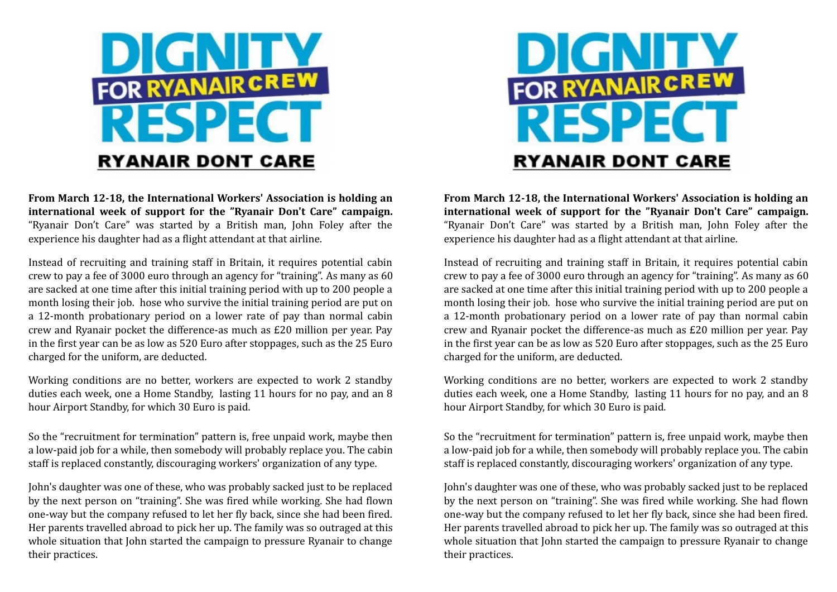

**From March 12-18, the International Workers' Association is holding an international week of support for the "Ryanair Don't Care" campaign.** "Ryanair Don't Care" was started by a British man, John Foley after the experience his daughter had as a flight attendant at that airline.

Instead of recruiting and training staff in Britain, it requires potential cabin crew to pay a fee of 3000 euro through an agency for "training". As many as 60 are sacked at one time after this initial training period with up to 200 people a month losing their job. hose who survive the initial training period are put on a 12-month probationary period on a lower rate of pay than normal cabin crew and Ryanair pocket the difference-as much as £20 million per year. Pay in the first year can be as low as 520 Euro after stoppages, such as the 25 Euro charged for the uniform, are deducted.

Working conditions are no better, workers are expected to work 2 standby duties each week, one a Home Standby, lasting 11 hours for no pay, and an 8 hour Airport Standby, for which 30 Euro is paid.

So the "recruitment for termination" pattern is, free unpaid work, maybe then a low-paid job for a while, then somebody will probably replace you. The cabin staff is replaced constantly, discouraging workers' organization of any type.

John's daughter was one of these, who was probably sacked just to be replaced by the next person on "training". She was fired while working. She had flown one-way but the company refused to let her fly back, since she had been fired. Her parents travelled abroad to pick her up. The family was so outraged at this whole situation that John started the campaign to pressure Ryanair to change their practices.



**From March 12-18, the International Workers' Association is holding an international week of support for the "Ryanair Don't Care" campaign.** "Ryanair Don't Care" was started by a British man, John Foley after the experience his daughter had as a flight attendant at that airline.

Instead of recruiting and training staff in Britain, it requires potential cabin crew to pay a fee of 3000 euro through an agency for "training". As many as 60 are sacked at one time after this initial training period with up to 200 people a month losing their job. hose who survive the initial training period are put on a 12-month probationary period on a lower rate of pay than normal cabin crew and Ryanair pocket the difference-as much as £20 million per year. Pay in the first year can be as low as 520 Euro after stoppages, such as the 25 Euro charged for the uniform, are deducted.

Working conditions are no better, workers are expected to work 2 standby duties each week, one a Home Standby, lasting 11 hours for no pay, and an 8 hour Airport Standby, for which 30 Euro is paid.

So the "recruitment for termination" pattern is, free unpaid work, maybe then a low-paid job for a while, then somebody will probably replace you. The cabin staff is replaced constantly, discouraging workers' organization of any type.

John's daughter was one of these, who was probably sacked just to be replaced by the next person on "training". She was fired while working. She had flown one-way but the company refused to let her fly back, since she had been fired. Her parents travelled abroad to pick her up. The family was so outraged at this whole situation that John started the campaign to pressure Ryanair to change their practices.